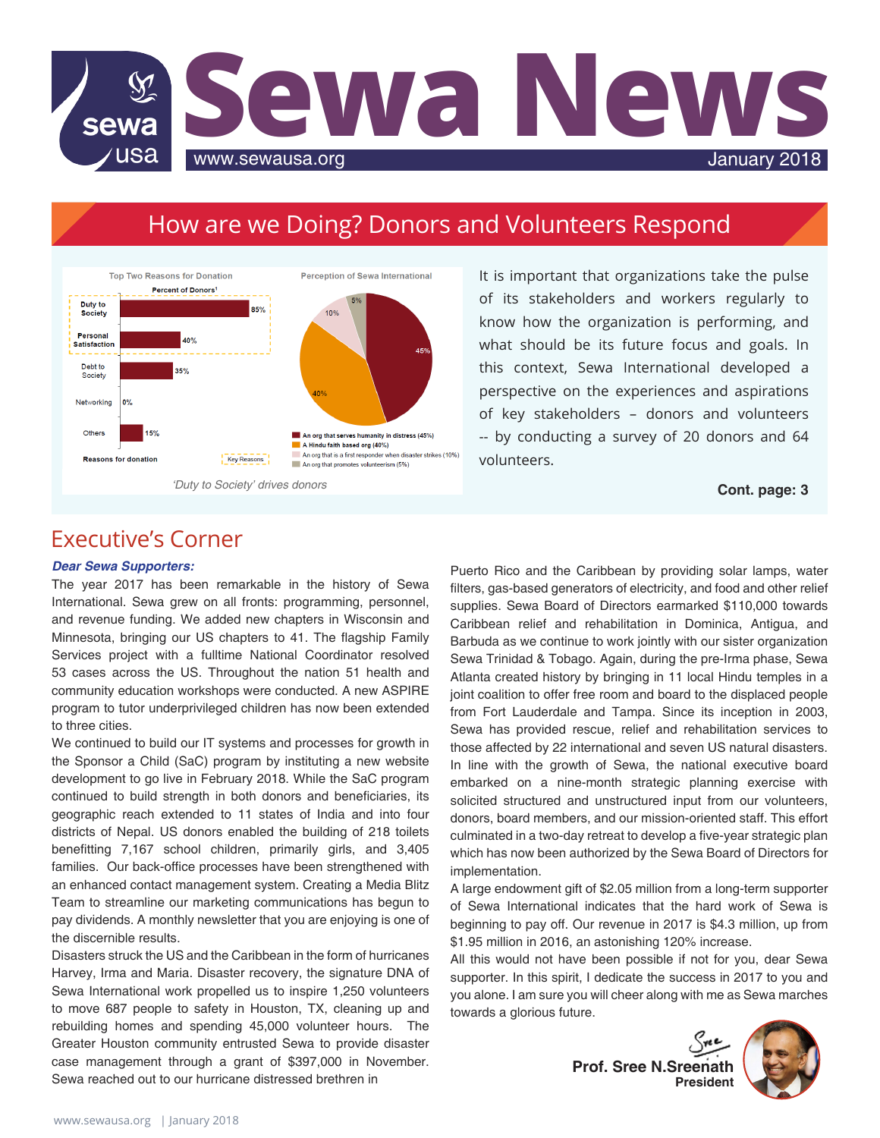

# How are we Doing? Donors and Volunteers Respond



It is important that organizations take the pulse of its stakeholders and workers regularly to know how the organization is performing, and what should be its future focus and goals. In this context, Sewa International developed a perspective on the experiences and aspirations of key stakeholders – donors and volunteers -- by conducting a survey of 20 donors and 64 volunteers.

## Executive's Corner

#### *Dear Sewa Supporters:*

The year 2017 has been remarkable in the history of Sewa International. Sewa grew on all fronts: programming, personnel, and revenue funding. We added new chapters in Wisconsin and Minnesota, bringing our US chapters to 41. The flagship Family Services project with a fulltime National Coordinator resolved 53 cases across the US. Throughout the nation 51 health and community education workshops were conducted. A new ASPIRE program to tutor underprivileged children has now been extended to three cities.

We continued to build our IT systems and processes for growth in the Sponsor a Child (SaC) program by instituting a new website development to go live in February 2018. While the SaC program continued to build strength in both donors and beneficiaries, its geographic reach extended to 11 states of India and into four districts of Nepal. US donors enabled the building of 218 toilets benefitting 7,167 school children, primarily girls, and 3,405 families. Our back-office processes have been strengthened with an enhanced contact management system. Creating a Media Blitz Team to streamline our marketing communications has begun to pay dividends. A monthly newsletter that you are enjoying is one of the discernible results.

Disasters struck the US and the Caribbean in the form of hurricanes Harvey, Irma and Maria. Disaster recovery, the signature DNA of Sewa International work propelled us to inspire 1,250 volunteers to move 687 people to safety in Houston, TX, cleaning up and rebuilding homes and spending 45,000 volunteer hours. The Greater Houston community entrusted Sewa to provide disaster case management through a grant of \$397,000 in November. Sewa reached out to our hurricane distressed brethren in

Puerto Rico and the Caribbean by providing solar lamps, water filters, gas-based generators of electricity, and food and other relief supplies. Sewa Board of Directors earmarked \$110,000 towards Caribbean relief and rehabilitation in Dominica, Antigua, and Barbuda as we continue to work jointly with our sister organization Sewa Trinidad & Tobago. Again, during the pre-Irma phase, Sewa Atlanta created history by bringing in 11 local Hindu temples in a joint coalition to offer free room and board to the displaced people from Fort Lauderdale and Tampa. Since its inception in 2003, Sewa has provided rescue, relief and rehabilitation services to those affected by 22 international and seven US natural disasters. In line with the growth of Sewa, the national executive board embarked on a nine-month strategic planning exercise with solicited structured and unstructured input from our volunteers, donors, board members, and our mission-oriented staff. This effort culminated in a two-day retreat to develop a five-year strategic plan which has now been authorized by the Sewa Board of Directors for implementation.

A large endowment gift of \$2.05 million from a long-term supporter of Sewa International indicates that the hard work of Sewa is beginning to pay off. Our revenue in 2017 is \$4.3 million, up from \$1.95 million in 2016, an astonishing 120% increase.

All this would not have been possible if not for you, dear Sewa supporter. In this spirit, I dedicate the success in 2017 to you and you alone. I am sure you will cheer along with me as Sewa marches towards a glorious future.

**Prof. Sree N.Sreenath President**

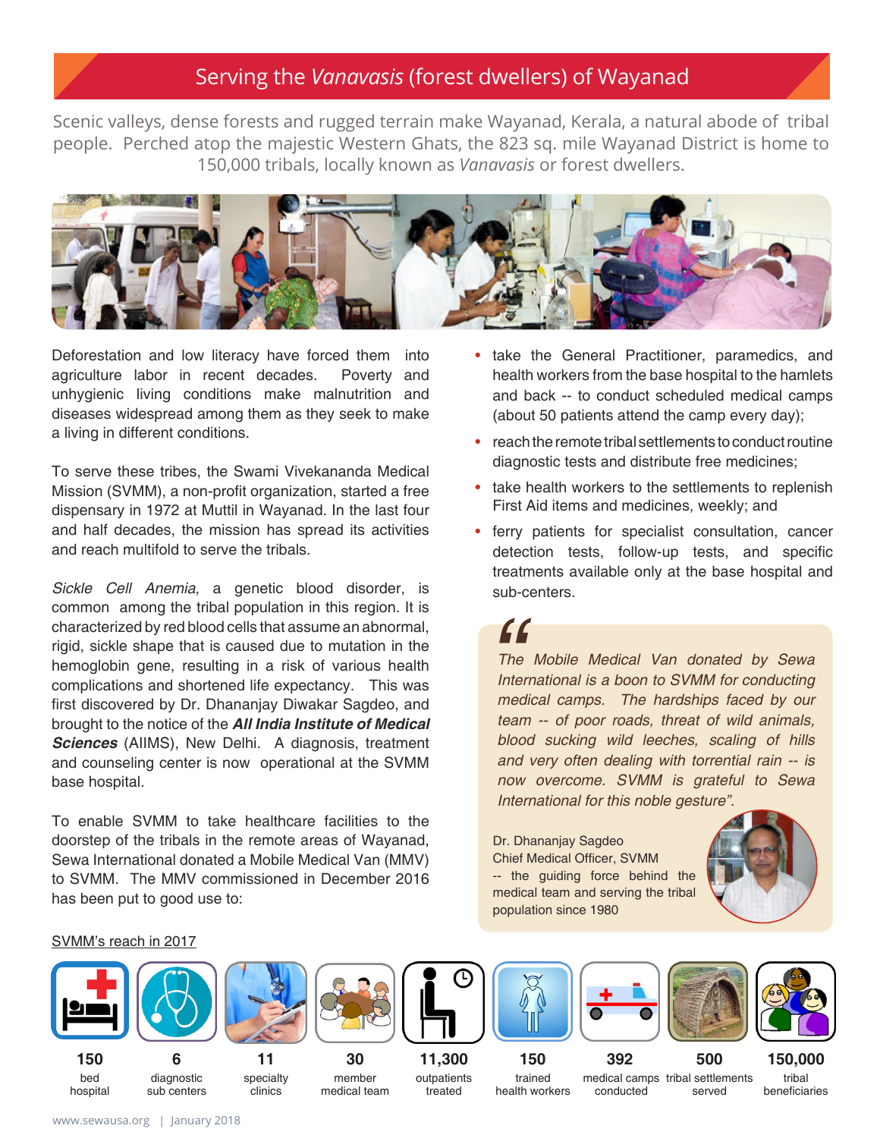## Serving the *Vanavasis* (forest dwellers) of Wayanad

Scenic valleys, dense forests and rugged terrain make Wayanad, Kerala, a natural abode of tribal people. Perched atop the majestic Western Ghats, the 823 sq. mile Wayanad District is home to 150,000 tribals, locally known as *Vanavasis* or forest dwellers.



Deforestation and low literacy have forced them into agriculture labor in recent decades. Poverty and unhygienic living conditions make malnutrition and diseases widespread among them as they seek to make a living in different conditions.

To serve these tribes, the Swami Vivekananda Medical Mission (SVMM), a non-profit organization, started a free dispensary in 1972 at Muttil in Wayanad. In the last four and half decades, the mission has spread its activities and reach multifold to serve the tribals.

*Sickle Cell Anemia*, a genetic blood disorder, is common among the tribal population in this region. It is characterized by red blood cells that assume an abnormal, rigid, sickle shape that is caused due to mutation in the hemoglobin gene, resulting in a risk of various health complications and shortened life expectancy. This was first discovered by Dr. Dhananjay Diwakar Sagdeo, and brought to the notice of the *All India Institute of Medical Sciences* (AIIMS), New Delhi. A diagnosis, treatment and counseling center is now operational at the SVMM base hospital.

To enable SVMM to take healthcare facilities to the doorstep of the tribals in the remote areas of Wayanad, Sewa International donated a Mobile Medical Van (MMV) to SVMM. The MMV commissioned in December 2016 has been put to good use to:

- take the General Practitioner, paramedics, and health workers from the base hospital to the hamlets and back -- to conduct scheduled medical camps (about 50 patients attend the camp every day);
- reach the remote tribal settlements to conduct routine diagnostic tests and distribute free medicines; •
- take health workers to the settlements to replenish First Aid items and medicines, weekly; and
- ferry patients for specialist consultation, cancer detection tests, follow-up tests, and specific treatments available only at the base hospital and sub-centers.

# *"*

*The Mobile Medical Van donated by Sewa International is a boon to SVMM for conducting medical camps. The hardships faced by our team -- of poor roads, threat of wild animals, blood sucking wild leeches, scaling of hills and very often dealing with torrential rain -- is now overcome. SVMM is grateful to Sewa International for this noble gesture".*

Dr. Dhananjay Sagdeo Chief Medical Officer, SVMM -- the guiding force behind the medical team and serving the tribal population since 1980



#### SVMM's reach in 2017

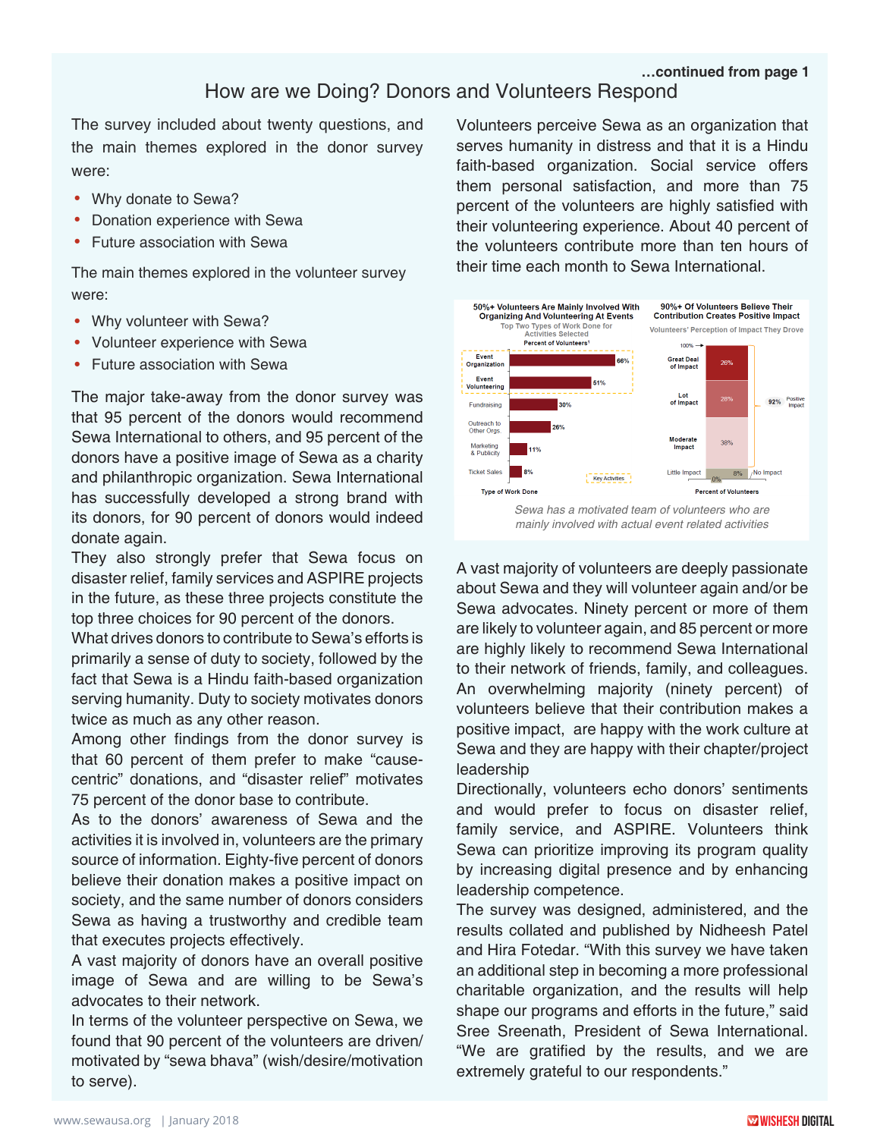#### **…continued from page 1**

## How are we Doing? Donors and Volunteers Respond

The survey included about twenty questions, and the main themes explored in the donor survey were:

- Why donate to Sewa?
- Donation experience with Sewa
- Future association with Sewa

The main themes explored in the volunteer survey were:

- Why volunteer with Sewa?
- Volunteer experience with Sewa
- Future association with Sewa

The major take-away from the donor survey was that 95 percent of the donors would recommend Sewa International to others, and 95 percent of the donors have a positive image of Sewa as a charity and philanthropic organization. Sewa International has successfully developed a strong brand with its donors, for 90 percent of donors would indeed donate again.

They also strongly prefer that Sewa focus on disaster relief, family services and ASPIRE projects in the future, as these three projects constitute the top three choices for 90 percent of the donors.

What drives donors to contribute to Sewa's efforts is primarily a sense of duty to society, followed by the fact that Sewa is a Hindu faith-based organization serving humanity. Duty to society motivates donors twice as much as any other reason.

Among other findings from the donor survey is that 60 percent of them prefer to make "causecentric" donations, and "disaster relief" motivates 75 percent of the donor base to contribute.

As to the donors' awareness of Sewa and the activities it is involved in, volunteers are the primary source of information. Eighty-five percent of donors believe their donation makes a positive impact on society, and the same number of donors considers Sewa as having a trustworthy and credible team that executes projects effectively.

A vast majority of donors have an overall positive image of Sewa and are willing to be Sewa's advocates to their network.

In terms of the volunteer perspective on Sewa, we found that 90 percent of the volunteers are driven/ motivated by "sewa bhava" (wish/desire/motivation to serve).

Volunteers perceive Sewa as an organization that serves humanity in distress and that it is a Hindu faith-based organization. Social service offers them personal satisfaction, and more than 75 percent of the volunteers are highly satisfied with their volunteering experience. About 40 percent of the volunteers contribute more than ten hours of their time each month to Sewa International.



A vast majority of volunteers are deeply passionate

about Sewa and they will volunteer again and/or be Sewa advocates. Ninety percent or more of them are likely to volunteer again, and 85 percent or more are highly likely to recommend Sewa International to their network of friends, family, and colleagues. An overwhelming majority (ninety percent) of volunteers believe that their contribution makes a positive impact, are happy with the work culture at Sewa and they are happy with their chapter/project leadership

Directionally, volunteers echo donors' sentiments and would prefer to focus on disaster relief, family service, and ASPIRE. Volunteers think Sewa can prioritize improving its program quality by increasing digital presence and by enhancing leadership competence.

The survey was designed, administered, and the results collated and published by Nidheesh Patel and Hira Fotedar. "With this survey we have taken an additional step in becoming a more professional charitable organization, and the results will help shape our programs and efforts in the future," said Sree Sreenath, President of Sewa International. "We are gratified by the results, and we are extremely grateful to our respondents."